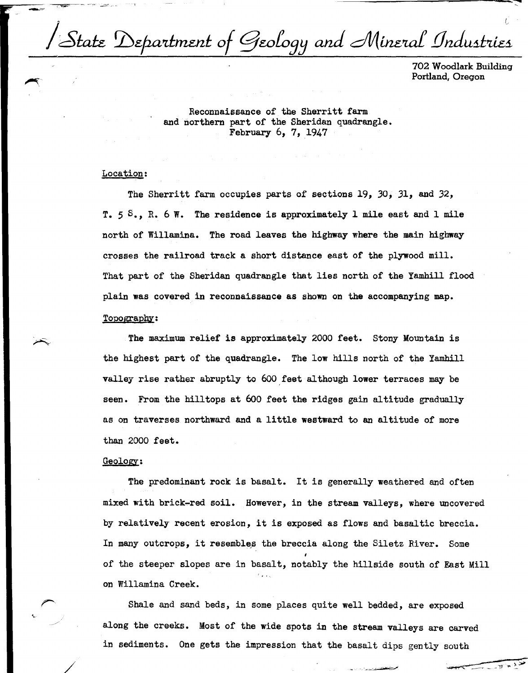| State Department of Geology and Mineral Industries

..,.,,,,..---- .-....~"~" *~(* -=----- <sup>~</sup>-- ---'- -- -------------------

702 Woodlark Building Portland, Oregon

Reconnaissance of the Sherritt farm and northern part of the Sheridan quadrangle. February 6, 7, 1947

## Location:

The Sherritt farm occupies parts of sections 19, *30,* 31, and *32,*  T. *5* s., R. 6 W. The residence is approximately l mile east and l mile north of Willamina. The road leaves the highway where the main highway crosses the railroad track a short distance east of the plywood mill. That part of the Sheridan quadrangle that lies north of the Yamhill flood plain was covered in reconnaissance as shown on the accompanying map.

## Topography:

The maximum relief is approximately 2000 feet. Stony Mountain is the highest part of the quadrangle. The low hills north of the Yamhill valley rise rather abruptly to 600 feet although lower terraces may be seen. From the hilltops at 600 feet the ridges gain altitude gradually as on traverses northward and a little westward to an altitude of more than 2000 feet.

## Geology:

/

The predominant rock is basalt. It is generally weathered and often mixed with brick-red soil. However, in the stream valleys, where uncovered by relatively recent erosion, it is exposed as flows and basaltic breccia. In many outcrops, it resembles the breccia along the Siletz River. Some of the steeper slopes are in basalt, notably the hillside south of East Mill on Willamina Creek.

Shale and sand beds, in some places quite well bedded, are exposed along the creeks. Most of the **wide** spots in the stream valleys are carved in sediments. One gets the impression that the basalt dips gently south south  $-$